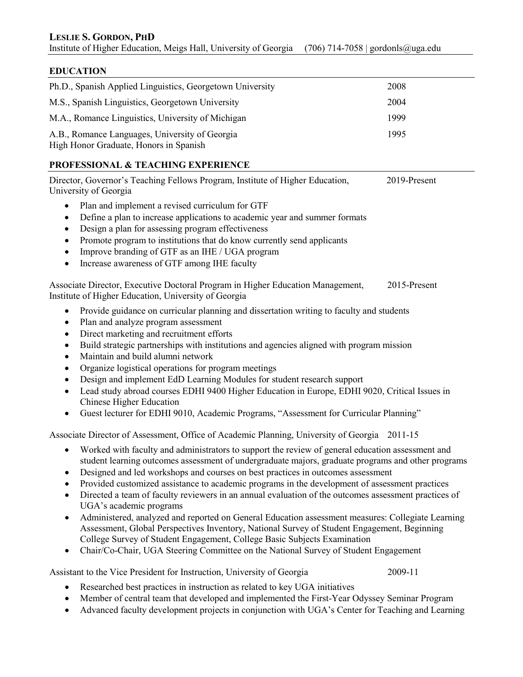## **EDUCATION**

| Ph.D., Spanish Applied Linguistics, Georgetown University                                | 2008 |
|------------------------------------------------------------------------------------------|------|
| M.S., Spanish Linguistics, Georgetown University                                         | 2004 |
| M.A., Romance Linguistics, University of Michigan                                        | 1999 |
| A.B., Romance Languages, University of Georgia<br>High Honor Graduate, Honors in Spanish | 1995 |

## **PROFESSIONAL & TEACHING EXPERIENCE**

Director, Governor's Teaching Fellows Program, Institute of Higher Education, 2019-Present University of Georgia

- Plan and implement a revised curriculum for GTF
- Define a plan to increase applications to academic year and summer formats
- Design a plan for assessing program effectiveness
- Promote program to institutions that do know currently send applicants
- Improve branding of GTF as an IHE / UGA program
- Increase awareness of GTF among IHE faculty

Associate Director, Executive Doctoral Program in Higher Education Management, 2015-Present Institute of Higher Education, University of Georgia

- Provide guidance on curricular planning and dissertation writing to faculty and students
- Plan and analyze program assessment
- Direct marketing and recruitment efforts
- Build strategic partnerships with institutions and agencies aligned with program mission
- Maintain and build alumni network
- Organize logistical operations for program meetings
- Design and implement EdD Learning Modules for student research support
- Lead study abroad courses EDHI 9400 Higher Education in Europe, EDHI 9020, Critical Issues in Chinese Higher Education
- Guest lecturer for EDHI 9010, Academic Programs, "Assessment for Curricular Planning"

Associate Director of Assessment, Office of Academic Planning, University of Georgia 2011-15

- Worked with faculty and administrators to support the review of general education assessment and student learning outcomes assessment of undergraduate majors, graduate programs and other programs
- Designed and led workshops and courses on best practices in outcomes assessment
- Provided customized assistance to academic programs in the development of assessment practices
- Directed a team of faculty reviewers in an annual evaluation of the outcomes assessment practices of UGA's academic programs
- Administered, analyzed and reported on General Education assessment measures: Collegiate Learning Assessment, Global Perspectives Inventory, National Survey of Student Engagement, Beginning College Survey of Student Engagement, College Basic Subjects Examination
- Chair/Co-Chair, UGA Steering Committee on the National Survey of Student Engagement

Assistant to the Vice President for Instruction, University of Georgia 2009-11

- Researched best practices in instruction as related to key UGA initiatives
- Member of central team that developed and implemented the First-Year Odyssey Seminar Program
- Advanced faculty development projects in conjunction with UGA's Center for Teaching and Learning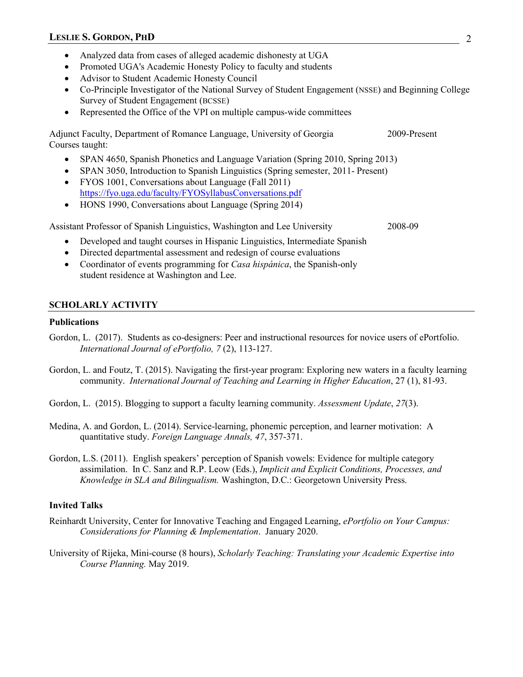- Analyzed data from cases of alleged academic dishonesty at UGA
- Promoted UGA's Academic Honesty Policy to faculty and students
- Advisor to Student Academic Honesty Council
- Co-Principle Investigator of the National Survey of Student Engagement (NSSE) and Beginning College Survey of Student Engagement (BCSSE)
- Represented the Office of the VPI on multiple campus-wide committees

Adjunct Faculty, Department of Romance Language, University of Georgia 2009-Present Courses taught:

- SPAN 4650, Spanish Phonetics and Language Variation (Spring 2010, Spring 2013)
- SPAN 3050, Introduction to Spanish Linguistics (Spring semester, 2011- Present)
- FYOS 1001, Conversations about Language (Fall 2011) <https://fyo.uga.edu/faculty/FYOSyllabusConversations.pdf>
- HONS 1990, Conversations about Language (Spring 2014)

Assistant Professor of Spanish Linguistics, Washington and Lee University 2008-09

- Developed and taught courses in Hispanic Linguistics, Intermediate Spanish
- Directed departmental assessment and redesign of course evaluations
- Coordinator of events programming for *Casa hispánica*, the Spanish-only student residence at Washington and Lee.

### **SCHOLARLY ACTIVITY**

### **Publications**

- Gordon, L. (2017). Students as co-designers: Peer and instructional resources for novice users of ePortfolio. *International Journal of ePortfolio, 7* (2), 113-127.
- Gordon, L. and Foutz, T. (2015). Navigating the first-year program: Exploring new waters in a faculty learning community. *International Journal of Teaching and Learning in Higher Education*, 27 (1), 81-93.
- Gordon, L. (2015). Blogging to support a faculty learning community. *Assessment Update*, *27*(3).
- Medina, A. and Gordon, L. (2014). Service-learning, phonemic perception, and learner motivation: A quantitative study. *Foreign Language Annals, 47*, 357-371.
- Gordon, L.S. (2011). English speakers' perception of Spanish vowels: Evidence for multiple category assimilation. In C. Sanz and R.P. Leow (Eds.), *Implicit and Explicit Conditions, Processes, and Knowledge in SLA and Bilingualism.* Washington, D.C.: Georgetown University Press.

### **Invited Talks**

- Reinhardt University, Center for Innovative Teaching and Engaged Learning, *ePortfolio on Your Campus: Considerations for Planning & Implementation*. January 2020.
- University of Rijeka, Mini-course (8 hours), *Scholarly Teaching: Translating your Academic Expertise into Course Planning.* May 2019.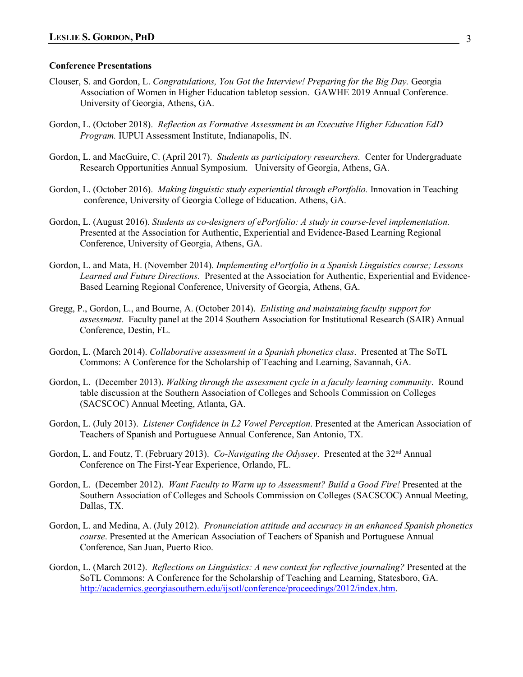#### **Conference Presentations**

- Clouser, S. and Gordon, L. *Congratulations, You Got the Interview! Preparing for the Big Day.* Georgia Association of Women in Higher Education tabletop session. GAWHE 2019 Annual Conference. University of Georgia, Athens, GA.
- Gordon, L. (October 2018). *Reflection as Formative Assessment in an Executive Higher Education EdD Program.* IUPUI Assessment Institute, Indianapolis, IN.
- Gordon, L. and MacGuire, C. (April 2017). *Students as participatory researchers.* Center for Undergraduate Research Opportunities Annual Symposium. University of Georgia, Athens, GA.
- Gordon, L. (October 2016). *Making linguistic study experiential through ePortfolio.* Innovation in Teaching conference, University of Georgia College of Education. Athens, GA.
- Gordon, L. (August 2016). *Students as co-designers of ePortfolio: A study in course-level implementation.* Presented at the Association for Authentic, Experiential and Evidence-Based Learning Regional Conference, University of Georgia, Athens, GA.
- Gordon, L. and Mata, H. (November 2014). *Implementing ePortfolio in a Spanish Linguistics course; Lessons Learned and Future Directions.* Presented at the Association for Authentic, Experiential and Evidence-Based Learning Regional Conference, University of Georgia, Athens, GA.
- Gregg, P., Gordon, L., and Bourne, A. (October 2014). *Enlisting and maintaining faculty support for assessment*. Faculty panel at the 2014 Southern Association for Institutional Research (SAIR) Annual Conference, Destin, FL.
- Gordon, L. (March 2014). *Collaborative assessment in a Spanish phonetics class*. Presented at The SoTL Commons: A Conference for the Scholarship of Teaching and Learning, Savannah, GA.
- Gordon, L. (December 2013). *Walking through the assessment cycle in a faculty learning community*. Round table discussion at the Southern Association of Colleges and Schools Commission on Colleges (SACSCOC) Annual Meeting, Atlanta, GA.
- Gordon, L. (July 2013). *Listener Confidence in L2 Vowel Perception*. Presented at the American Association of Teachers of Spanish and Portuguese Annual Conference, San Antonio, TX.
- Gordon, L. and Foutz, T. (February 2013). *Co-Navigating the Odyssey*. Presented at the 32<sup>nd</sup> Annual Conference on The First-Year Experience, Orlando, FL.
- Gordon, L. (December 2012). *Want Faculty to Warm up to Assessment? Build a Good Fire!* Presented at the Southern Association of Colleges and Schools Commission on Colleges (SACSCOC) Annual Meeting, Dallas, TX.
- Gordon, L. and Medina, A. (July 2012). *Pronunciation attitude and accuracy in an enhanced Spanish phonetics course*. Presented at the American Association of Teachers of Spanish and Portuguese Annual Conference, San Juan, Puerto Rico.
- Gordon, L. (March 2012). *Reflections on Linguistics: A new context for reflective journaling?* Presented at the SoTL Commons: A Conference for the Scholarship of Teaching and Learning, Statesboro, GA. [http://academics.georgiasouthern.edu/ijsotl/conference/proceedings/2012/index.htm.](http://academics.georgiasouthern.edu/ijsotl/conference/proceedings/2012/index.htm)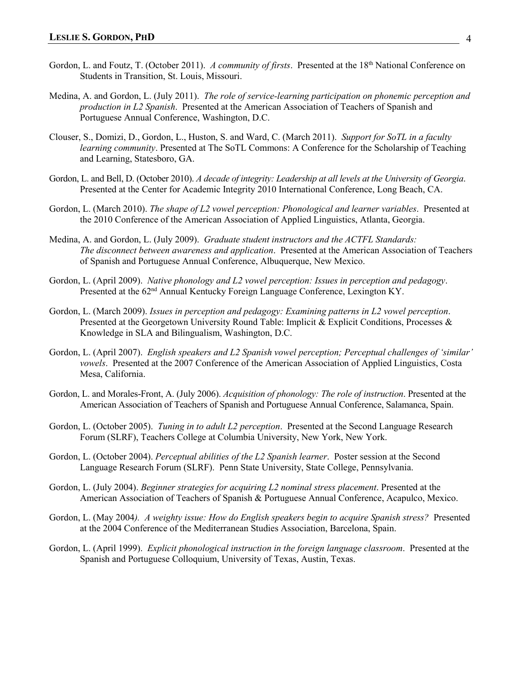- Gordon, L. and Foutz, T. (October 2011). *A community of firsts*. Presented at the 18th National Conference on Students in Transition, St. Louis, Missouri.
- Medina, A. and Gordon, L. (July 2011). *The role of service-learning participation on phonemic perception and production in L2 Spanish*. Presented at the American Association of Teachers of Spanish and Portuguese Annual Conference, Washington, D.C.
- Clouser, S., Domizi, D., Gordon, L., Huston, S. and Ward, C. (March 2011). *Support for SoTL in a faculty learning community*. Presented at The SoTL Commons: A Conference for the Scholarship of Teaching and Learning, Statesboro, GA.
- Gordon, L. and Bell, D. (October 2010). *A decade of integrity: Leadership at all levels at the University of Georgia*. Presented at the Center for Academic Integrity 2010 International Conference, Long Beach, CA.
- Gordon, L. (March 2010). *The shape of L2 vowel perception: Phonological and learner variables*. Presented at the 2010 Conference of the American Association of Applied Linguistics, Atlanta, Georgia.
- Medina, A. and Gordon, L. (July 2009). *Graduate student instructors and the ACTFL Standards: The disconnect between awareness and application*. Presented at the American Association of Teachers of Spanish and Portuguese Annual Conference, Albuquerque, New Mexico.
- Gordon, L. (April 2009). *Native phonology and L2 vowel perception: Issues in perception and pedagogy*. Presented at the 62<sup>nd</sup> Annual Kentucky Foreign Language Conference, Lexington KY.
- Gordon, L. (March 2009). *Issues in perception and pedagogy: Examining patterns in L2 vowel perception*. Presented at the Georgetown University Round Table: Implicit & Explicit Conditions, Processes & Knowledge in SLA and Bilingualism, Washington, D.C.
- Gordon, L. (April 2007). *English speakers and L2 Spanish vowel perception; Perceptual challenges of 'similar' vowels*.Presented at the 2007 Conference of the American Association of Applied Linguistics, Costa Mesa, California.
- Gordon, L. and Morales-Front, A. (July 2006). *Acquisition of phonology: The role of instruction*. Presented at the American Association of Teachers of Spanish and Portuguese Annual Conference, Salamanca, Spain.
- Gordon, L. (October 2005). *Tuning in to adult L2 perception*. Presented at the Second Language Research Forum (SLRF), Teachers College at Columbia University, New York, New York.
- Gordon, L. (October 2004). *Perceptual abilities of the L2 Spanish learner*. Poster session at the Second Language Research Forum (SLRF). Penn State University, State College, Pennsylvania.
- Gordon, L. (July 2004). *Beginner strategies for acquiring L2 nominal stress placement*. Presented at the American Association of Teachers of Spanish & Portuguese Annual Conference, Acapulco, Mexico.
- Gordon, L. (May 2004*). A weighty issue: How do English speakers begin to acquire Spanish stress?* Presented at the 2004 Conference of the Mediterranean Studies Association, Barcelona, Spain.
- Gordon, L. (April 1999). *Explicit phonological instruction in the foreign language classroom*. Presented at the Spanish and Portuguese Colloquium, University of Texas, Austin, Texas.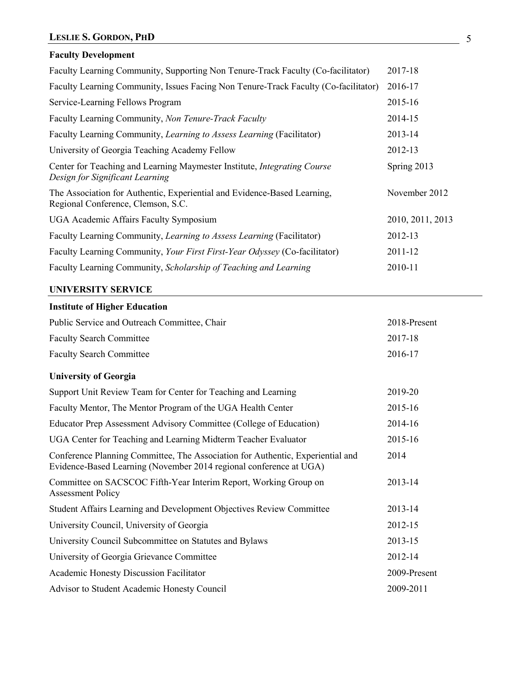# **LESLIE S. GORDON, PHD** 5

# **Faculty Development**

| Faculty Learning Community, Supporting Non Tenure-Track Faculty (Co-facilitator)                               | 2017-18          |
|----------------------------------------------------------------------------------------------------------------|------------------|
| Faculty Learning Community, Issues Facing Non Tenure-Track Faculty (Co-facilitator)                            | 2016-17          |
| Service-Learning Fellows Program                                                                               | 2015-16          |
| Faculty Learning Community, Non Tenure-Track Faculty                                                           | 2014-15          |
| Faculty Learning Community, Learning to Assess Learning (Facilitator)                                          | 2013-14          |
| University of Georgia Teaching Academy Fellow                                                                  | 2012-13          |
| Center for Teaching and Learning Maymester Institute, Integrating Course<br>Design for Significant Learning    | Spring 2013      |
| The Association for Authentic, Experiential and Evidence-Based Learning,<br>Regional Conference, Clemson, S.C. | November 2012    |
| UGA Academic Affairs Faculty Symposium                                                                         | 2010, 2011, 2013 |
| Faculty Learning Community, Learning to Assess Learning (Facilitator)                                          | 2012-13          |
| Faculty Learning Community, Your First First-Year Odyssey (Co-facilitator)                                     | 2011-12          |
| Faculty Learning Community, Scholarship of Teaching and Learning                                               | 2010-11          |
|                                                                                                                |                  |

## **UNIVERSITY SERVICE**

| <b>Institute of Higher Education</b>                                                                                                                 |              |
|------------------------------------------------------------------------------------------------------------------------------------------------------|--------------|
| Public Service and Outreach Committee, Chair                                                                                                         | 2018-Present |
| <b>Faculty Search Committee</b>                                                                                                                      | 2017-18      |
| <b>Faculty Search Committee</b>                                                                                                                      | 2016-17      |
| <b>University of Georgia</b>                                                                                                                         |              |
| Support Unit Review Team for Center for Teaching and Learning                                                                                        | 2019-20      |
| Faculty Mentor, The Mentor Program of the UGA Health Center                                                                                          | 2015-16      |
| Educator Prep Assessment Advisory Committee (College of Education)                                                                                   | 2014-16      |
| UGA Center for Teaching and Learning Midterm Teacher Evaluator                                                                                       | 2015-16      |
| Conference Planning Committee, The Association for Authentic, Experiential and<br>Evidence-Based Learning (November 2014 regional conference at UGA) | 2014         |
| Committee on SACSCOC Fifth-Year Interim Report, Working Group on<br><b>Assessment Policy</b>                                                         | 2013-14      |
| Student Affairs Learning and Development Objectives Review Committee                                                                                 | 2013-14      |
| University Council, University of Georgia                                                                                                            | 2012-15      |
| University Council Subcommittee on Statutes and Bylaws                                                                                               | 2013-15      |
| University of Georgia Grievance Committee                                                                                                            | 2012-14      |
| Academic Honesty Discussion Facilitator                                                                                                              | 2009-Present |
| Advisor to Student Academic Honesty Council                                                                                                          | 2009-2011    |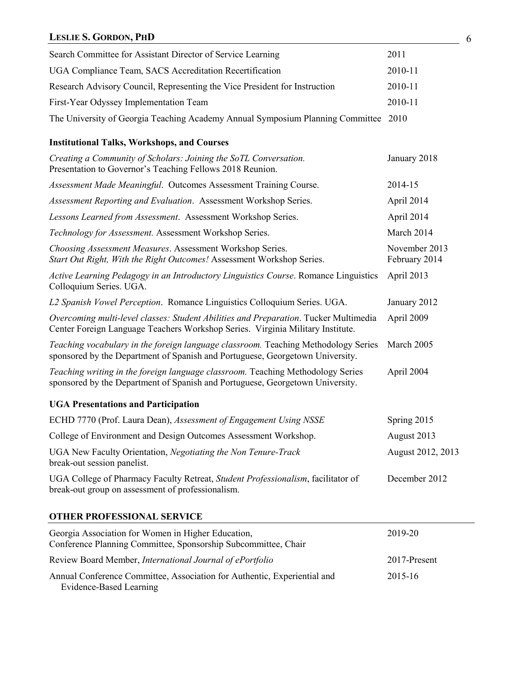# **LESLIE S. GORDON, PHD** 6

| Search Committee for Assistant Director of Service Learning                                                                                                            | 2011                           |
|------------------------------------------------------------------------------------------------------------------------------------------------------------------------|--------------------------------|
| UGA Compliance Team, SACS Accreditation Recertification                                                                                                                | 2010-11                        |
| Research Advisory Council, Representing the Vice President for Instruction                                                                                             | 2010-11                        |
| First-Year Odyssey Implementation Team                                                                                                                                 | 2010-11                        |
| The University of Georgia Teaching Academy Annual Symposium Planning Committee 2010                                                                                    |                                |
| <b>Institutional Talks, Workshops, and Courses</b>                                                                                                                     |                                |
| Creating a Community of Scholars: Joining the SoTL Conversation.<br>Presentation to Governor's Teaching Fellows 2018 Reunion.                                          | January 2018                   |
| Assessment Made Meaningful. Outcomes Assessment Training Course.                                                                                                       | 2014-15                        |
| Assessment Reporting and Evaluation. Assessment Workshop Series.                                                                                                       | April 2014                     |
| Lessons Learned from Assessment. Assessment Workshop Series.                                                                                                           | April 2014                     |
| Technology for Assessment. Assessment Workshop Series.                                                                                                                 | March 2014                     |
| Choosing Assessment Measures. Assessment Workshop Series.<br>Start Out Right, With the Right Outcomes! Assessment Workshop Series.                                     | November 2013<br>February 2014 |
| Active Learning Pedagogy in an Introductory Linguistics Course. Romance Linguistics<br>Colloquium Series. UGA.                                                         | April 2013                     |
| L2 Spanish Vowel Perception. Romance Linguistics Colloquium Series. UGA.                                                                                               | January 2012                   |
| Overcoming multi-level classes: Student Abilities and Preparation. Tucker Multimedia<br>Center Foreign Language Teachers Workshop Series. Virginia Military Institute. | April 2009                     |
| Teaching vocabulary in the foreign language classroom. Teaching Methodology Series<br>sponsored by the Department of Spanish and Portuguese, Georgetown University.    | March 2005                     |
| Teaching writing in the foreign language classroom. Teaching Methodology Series<br>sponsored by the Department of Spanish and Portuguese, Georgetown University.       | April 2004                     |
| <b>UGA Presentations and Participation</b>                                                                                                                             |                                |
| ECHD 7770 (Prof. Laura Dean), Assessment of Engagement Using NSSE                                                                                                      | Spring 2015                    |
| College of Environment and Design Outcomes Assessment Workshop.                                                                                                        | August 2013                    |
| UGA New Faculty Orientation, Negotiating the Non Tenure-Track<br>break-out session panelist.                                                                           | August 2012, 2013              |
| UGA College of Pharmacy Faculty Retreat, Student Professionalism, facilitator of<br>break-out group on assessment of professionalism.                                  | December 2012                  |
| <b>OTHER PROFESSIONAL SERVICE</b>                                                                                                                                      |                                |
| Georgia Association for Women in Higher Education,<br>Conference Planning Committee, Sponsorship Subcommittee, Chair                                                   | 2019-20                        |
| Review Board Member, International Journal of ePortfolio                                                                                                               | 2017-Present                   |
| Annual Conference Committee, Association for Authentic, Experiential and<br><b>Evidence-Based Learning</b>                                                             | 2015-16                        |